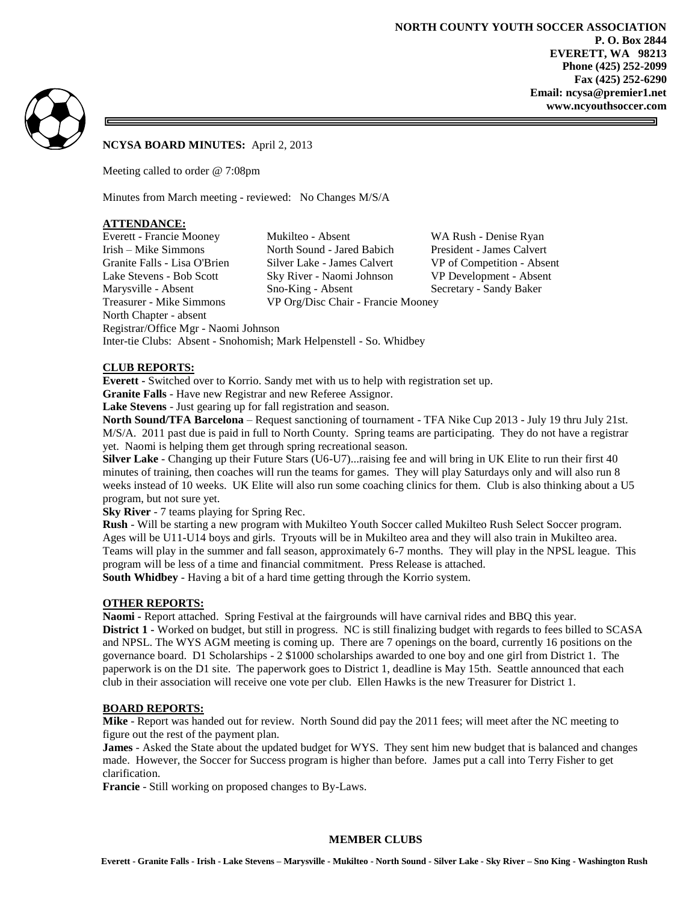

### **NCYSA BOARD MINUTES:** April 2, 2013

Meeting called to order @ 7:08pm

Minutes from March meeting - reviewed: No Changes M/S/A

#### **ATTENDANCE:**

Everett - Francie Mooney Mukilteo - Absent WA Rush - Denise Ryan Treasurer - Mike Simmons VP Org/Disc Chair - Francie Mooney North Chapter - absent Registrar/Office Mgr - Naomi Johnson

Irish – Mike Simmons North Sound - Jared Babich President - James Calvert Granite Falls - Lisa O'Brien Silver Lake - James Calvert VP of Competition - Absent Lake Stevens - Bob Scott Sky River - Naomi Johnson VP Development - Absent Marysville - Absent Sno-King - Absent Secretary - Sandy Baker

#### **CLUB REPORTS:**

**Everett -** Switched over to Korrio. Sandy met with us to help with registration set up.

**Granite Falls** - Have new Registrar and new Referee Assignor.

Inter-tie Clubs: Absent - Snohomish; Mark Helpenstell - So. Whidbey

**Lake Stevens** - Just gearing up for fall registration and season.

**North Sound/TFA Barcelona** – Request sanctioning of tournament - TFA Nike Cup 2013 - July 19 thru July 21st. M/S/A. 2011 past due is paid in full to North County. Spring teams are participating. They do not have a registrar yet. Naomi is helping them get through spring recreational season.

**Silver Lake** - Changing up their Future Stars (U6-U7)...raising fee and will bring in UK Elite to run their first 40 minutes of training, then coaches will run the teams for games. They will play Saturdays only and will also run 8 weeks instead of 10 weeks. UK Elite will also run some coaching clinics for them. Club is also thinking about a U5 program, but not sure yet.

**Sky River** - 7 teams playing for Spring Rec.

**Rush** - Will be starting a new program with Mukilteo Youth Soccer called Mukilteo Rush Select Soccer program. Ages will be U11-U14 boys and girls. Tryouts will be in Mukilteo area and they will also train in Mukilteo area. Teams will play in the summer and fall season, approximately 6-7 months. They will play in the NPSL league. This program will be less of a time and financial commitment. Press Release is attached. **South Whidbey** - Having a bit of a hard time getting through the Korrio system.

#### **OTHER REPORTS:**

**Naomi -** Report attached. Spring Festival at the fairgrounds will have carnival rides and BBQ this year. **District 1 -** Worked on budget, but still in progress. NC is still finalizing budget with regards to fees billed to SCASA and NPSL. The WYS AGM meeting is coming up. There are 7 openings on the board, currently 16 positions on the governance board. D1 Scholarships - 2 \$1000 scholarships awarded to one boy and one girl from District 1. The paperwork is on the D1 site. The paperwork goes to District 1, deadline is May 15th. Seattle announced that each club in their association will receive one vote per club. Ellen Hawks is the new Treasurer for District 1.

#### **BOARD REPORTS:**

**Mike** - Report was handed out for review. North Sound did pay the 2011 fees; will meet after the NC meeting to figure out the rest of the payment plan.

**James** - Asked the State about the updated budget for WYS. They sent him new budget that is balanced and changes made. However, the Soccer for Success program is higher than before. James put a call into Terry Fisher to get clarification.

**Francie** - Still working on proposed changes to By-Laws.

#### **MEMBER CLUBS**